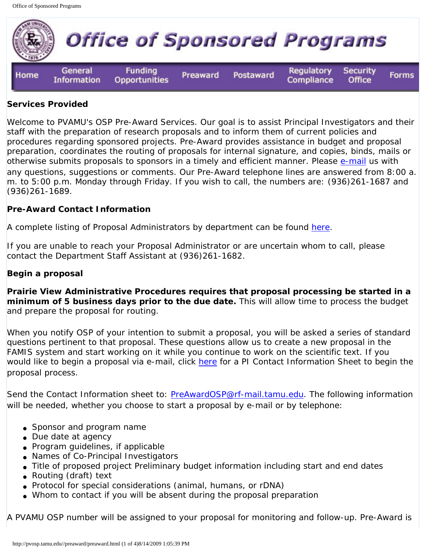

#### **Services Provided**

Welcome to PVAMU's OSP Pre-Award Services. Our goal is to assist Principal Investigators and their staff with the preparation of research proposals and to inform them of current policies and procedures regarding sponsored projects. Pre-Award provides assistance in budget and proposal preparation, coordinates the routing of proposals for internal signature, and copies, binds, mails or otherwise submits proposals to sponsors in a timely and efficient manner. Please [e-mail](mailto:PreAwardOSP@rf-mail.tamu.edu) us with any questions, suggestions or comments. Our Pre-Award telephone lines are answered from 8:00 a. m. to 5:00 p.m. Monday through Friday. If you wish to call, the numbers are: (936)261-1687 and (936)261-1689.

### **Pre-Award Contact Information**

A complete listing of Proposal Administrators by department can be found [here](http://pvosp.tamu.edu//preaward/proposaladm.html).

If you are unable to reach your Proposal Administrator or are uncertain whom to call, please contact the Department Staff Assistant at (936)261-1682.

#### **Begin a proposal**

**Prairie View Administrative Procedures requires that proposal processing be started in a minimum of 5 business days prior to the due date.** This will allow time to process the budget and prepare the proposal for routing.

When you notify OSP of your intention to submit a proposal, you will be asked a series of standard questions pertinent to that proposal. These questions allow us to create a new proposal in the FAMIS system and start working on it while you continue to work on the scientific text. If you would like to begin a proposal via e-mail, click [here](http://pvosp.tamu.edu//Forms/Intent%20to%20Submit%20Form.pdf) for a PI Contact Information Sheet to begin the proposal process.

Send the Contact Information sheet to: [PreAwardOSP@rf-mail.tamu.edu.](mailto:PreAwardOSP@rf-mail.tamu.edu) The following information will be needed, whether you choose to start a proposal by e-mail or by telephone:

- Sponsor and program name
- Due date at agency
- Program guidelines, if applicable
- Names of Co-Principal Investigators
- Title of proposed project Preliminary budget information including start and end dates
- Routing (draft) text
- Protocol for special considerations (animal, humans, or rDNA)
- Whom to contact if you will be absent during the proposal preparation

A PVAMU OSP number will be assigned to your proposal for monitoring and follow-up. Pre-Award is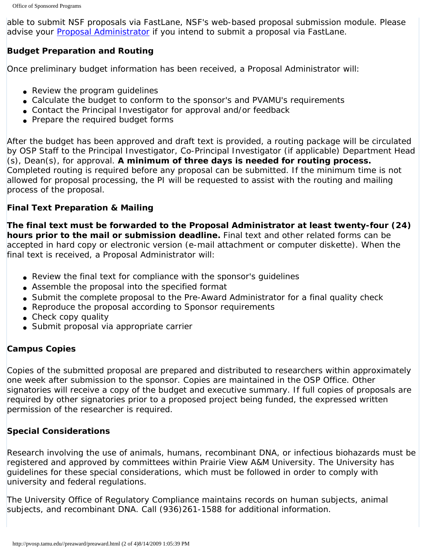able to submit NSF proposals via FastLane, NSF's web-based proposal submission module. Please advise your [Proposal Administrator](http://pvosp.tamu.edu//preaward/proposaladm.html) if you intend to submit a proposal via FastLane.

# **Budget Preparation and Routing**

Once preliminary budget information has been received, a Proposal Administrator will:

- Review the program guidelines
- Calculate the budget to conform to the sponsor's and PVAMU's requirements
- Contact the Principal Investigator for approval and/or feedback
- Prepare the required budget forms

After the budget has been approved and draft text is provided, a routing package will be circulated by OSP Staff to the Principal Investigator, Co-Principal Investigator (if applicable) Department Head (s), Dean(s), for approval. **A minimum of three days is needed for routing process.** Completed routing is required before any proposal can be submitted. If the minimum time is not allowed for proposal processing, the PI will be requested to assist with the routing and mailing process of the proposal.

# **Final Text Preparation & Mailing**

**The final text must be forwarded to the Proposal Administrator at least twenty-four (24) hours prior to the mail or submission deadline.** Final text and other related forms can be accepted in hard copy or electronic version (e-mail attachment or computer diskette). When the final text is received, a Proposal Administrator will:

- Review the final text for compliance with the sponsor's quidelines
- Assemble the proposal into the specified format
- Submit the complete proposal to the Pre-Award Administrator for a final quality check
- Reproduce the proposal according to Sponsor requirements
- Check copy quality
- Submit proposal via appropriate carrier

### **Campus Copies**

Copies of the submitted proposal are prepared and distributed to researchers within approximately one week after submission to the sponsor. Copies are maintained in the OSP Office. Other signatories will receive a copy of the budget and executive summary. If full copies of proposals are required by other signatories prior to a proposed project being funded, the expressed written permission of the researcher is required.

# **Special Considerations**

Research involving the use of animals, humans, recombinant DNA, or infectious biohazards must be registered and approved by committees within Prairie View A&M University. The University has guidelines for these special considerations, which must be followed in order to comply with university and federal regulations.

The University Office of Regulatory Compliance maintains records on human subjects, animal subjects, and recombinant DNA. Call (936)261-1588 for additional information.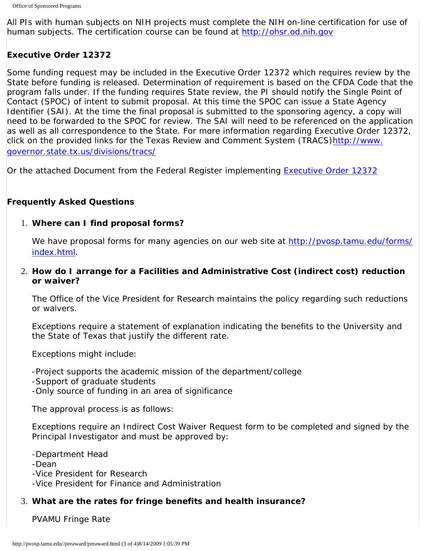All PIs with human subjects on NIH projects must complete the NIH on-line certification for use of human subjects. The certification course can be found at [http://ohsr.od.nih.gov](http://ohsr.od.nih.gov/) 

### **Executive Order 12372**

Some funding request may be included in the Executive Order 12372 which requires review by the State before funding is released. Determination of requirement is based on the CFDA Code that the program falls under. If the funding requires State review, the PI should notify the Single Point of Contact (SPOC) of intent to submit proposal. At this time the SPOC can issue a State Agency Identifier (SAI). At the time the final proposal is submitted to the sponsoring agency, a copy will need to be forwarded to the SPOC for review. The SAI will need to be referenced on the application as well as all correspondence to the State. For more information regarding Executive Order 12372, click on the provided links for the Texas Review and Comment System (TRACS[\)http://www.](http://www.governor.state.tx.us/divisions/tracs/) [governor.state.tx.us/divisions/tracs/](http://www.governor.state.tx.us/divisions/tracs/)

Or the attached Document from the Federal Register implementing [Executive Order 12372](http://pvosp.tamu.edu//Forms/Executive%20Order%2012372.pdf)

### **Frequently Asked Questions**

### 1. **Where can I find proposal forms?**

We have proposal forms for many agencies on our web site at [http://pvosp.tamu.edu/forms/](http://pvosp.tamu.edu/forms/index.html) [index.html](http://pvosp.tamu.edu/forms/index.html).

2. **How do I arrange for a Facilities and Administrative Cost (indirect cost) reduction or waiver?** 

The Office of the Vice President for Research maintains the policy regarding such reductions or waivers.

Exceptions require a statement of explanation indicating the benefits to the University and the State of Texas that justify the different rate.

Exceptions might include:

-Project supports the academic mission of the department/college

-Support of graduate students

-Only source of funding in an area of significance

The approval process is as follows:

Exceptions require an Indirect Cost Waiver Request form to be completed and signed by the Principal Investigator and must be approved by:

-Department Head

-Dean

-Vice President for Research

-Vice President for Finance and Administration

# 3. **What are the rates for fringe benefits and health insurance?**

PVAMU Fringe Rate